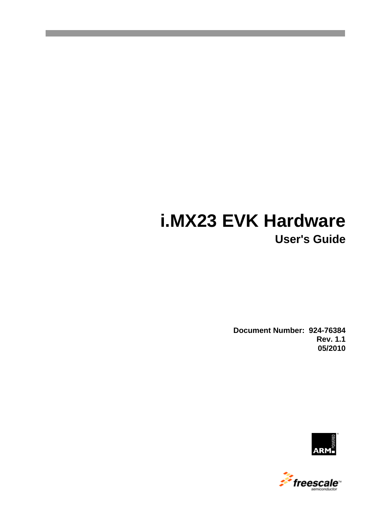# **i.MX23 EVK Hardware User's Guide**

**Document Number: 924-76384 Rev. 1.1 05/2010**



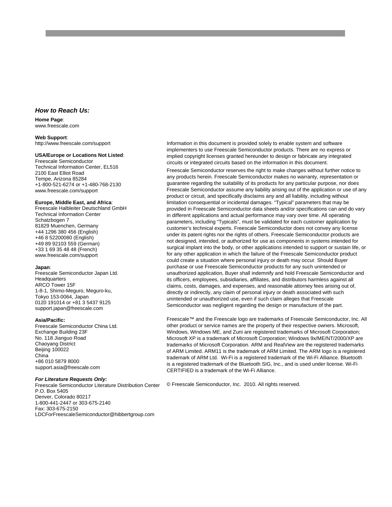#### *How to Reach Us:*

**Home Page**: www.freescale.com

#### **Web Support**:

http://www.freescale.com/support

#### **USA/Europe or Locations Not Listed**:

Freescale Semiconductor Technical Information Center, EL516 2100 East Elliot Road Tempe, Arizona 85284 +1-800-521-6274 or +1-480-768-2130 www.freescale.com/support

#### **Europe, Middle East, and Africa**:

Freescale Halbleiter Deutschland GmbH Technical Information Center Schatzbogen 7 81829 Muenchen, Germany +44 1296 380 456 (English) +46 8 52200080 (English) +49 89 92103 559 (German) +33 1 69 35 48 48 (French) www.freescale.com/support

#### **Japan**:

Freescale Semiconductor Japan Ltd. **Headquarters** ARCO Tower 15F 1-8-1, Shimo-Meguro, Meguro-ku, Tokyo 153-0064, Japan 0120 191014 or +81 3 5437 9125 support.japan@freescale.com

#### **Asia/Pacific:**

Freescale Semiconductor China Ltd. Exchange Building 23F No. 118 Jianguo Road Chaoyang District Beijing 100022 China +86 010 5879 8000 [support.asia@freescale.com](mailto:support.asia@freescale.com)

#### *For Literature Requests Only:*

Freescale Semiconductor Literature Distribution Center P.O. Box 5405 Denver, Colorado 80217 1-800-441-2447 or 303-675-2140 Fax: 303-675-2150 LDCForFreescaleSemiconductor@hibbertgroup.com

Information in this document is provided solely to enable system and software implementers to use Freescale Semiconductor products. There are no express or implied copyright licenses granted hereunder to design or fabricate any integrated circuits or integrated circuits based on the information in this document.

Freescale Semiconductor reserves the right to make changes without further notice to any products herein. Freescale Semiconductor makes no warranty, representation or guarantee regarding the suitability of its products for any particular purpose, nor does Freescale Semiconductor assume any liability arising out of the application or use of any product or circuit, and specifically disclaims any and all liability, including without limitation consequential or incidental damages. "Typical" parameters that may be provided in Freescale Semiconductor data sheets and/or specifications can and do vary in different applications and actual performance may vary over time. All operating parameters, including "Typicals", must be validated for each customer application by customer's technical experts. Freescale Semiconductor does not convey any license under its patent rights nor the rights of others. Freescale Semiconductor products are not designed, intended, or authorized for use as components in systems intended for surgical implant into the body, or other applications intended to support or sustain life, or for any other application in which the failure of the Freescale Semiconductor product could create a situation where personal injury or death may occur. Should Buyer purchase or use Freescale Semiconductor products for any such unintended or unauthorized application, Buyer shall indemnify and hold Freescale Semiconductor and its officers, employees, subsidiaries, affiliates, and distributors harmless against all claims, costs, damages, and expenses, and reasonable attorney fees arising out of, directly or indirectly, any claim of personal injury or death associated with such unintended or unauthorized use, even if such claim alleges that Freescale Semiconductor was negligent regarding the design or manufacture of the part.

Freescale™ and the Freescale logo are trademarks of Freescale Semiconductor, Inc. All other product or service names are the property of their respective owners. Microsoft, Windows, Windows ME, and Zuni are registered trademarks of Microsoft Corporation; Microsoft XP is a trademark of Microsoft Corporation; Windows 9x/ME/NT/2000/XP are trademarks of Microsoft Corporation. ARM and RealView are the registered trademarks of ARM Limited. ARM11 is the trademark of ARM Limited. The ARM logo is a registered trademark of ARM Ltd. Wi-Fi is a registered trademark of the Wi-Fi Alliance. Bluetooth is a registered trademark of the Bluetooth SIG, Inc., and is used under license. Wi-Fi CERTIFIED is a trademark of the Wi-Fi Alliance.

© Freescale Semiconductor, Inc. 2010. All rights reserved.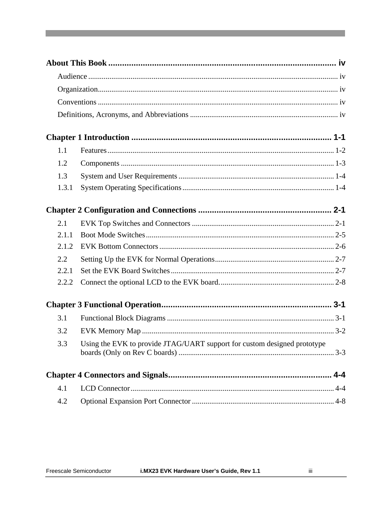| 1.1     |                                                                          |  |
|---------|--------------------------------------------------------------------------|--|
| 1.2     |                                                                          |  |
| 1.3     |                                                                          |  |
| 1.3.1   |                                                                          |  |
|         |                                                                          |  |
| 2.1     |                                                                          |  |
| 2.1.1   |                                                                          |  |
| 2.1.2   |                                                                          |  |
| $2.2\,$ |                                                                          |  |
| 2.2.1   |                                                                          |  |
| 2.2.2   |                                                                          |  |
|         |                                                                          |  |
| 3.1     |                                                                          |  |
| 3.2     |                                                                          |  |
| 3.3     | Using the EVK to provide JTAG/UART support for custom designed prototype |  |
|         |                                                                          |  |
| 4.1     |                                                                          |  |
| 4.2     |                                                                          |  |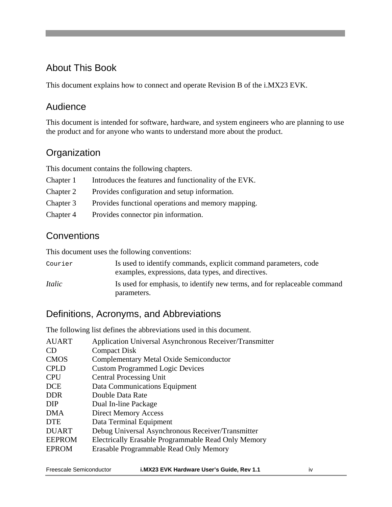# <span id="page-3-0"></span>About This Book

This document explains how to connect and operate Revision B of the i.MX23 EVK.

#### <span id="page-3-1"></span>Audience

This document is intended for software, hardware, and system engineers who are planning to use the product and for anyone who wants to understand more about the product.

# <span id="page-3-2"></span>**Organization**

This document contains the following chapters.

| Chapter 1 | Introduces the features and functionality of the EVK. |
|-----------|-------------------------------------------------------|
| Chapter 2 | Provides configuration and setup information.         |
| Chapter 3 | Provides functional operations and memory mapping.    |

Chapter 4 Provides connector pin information.

### <span id="page-3-3"></span>**Conventions**

This document uses the following conventions:

| Courier       | Is used to identify commands, explicit command parameters, code<br>examples, expressions, data types, and directives. |
|---------------|-----------------------------------------------------------------------------------------------------------------------|
| <i>Italic</i> | Is used for emphasis, to identify new terms, and for replaceable command<br>parameters.                               |

### <span id="page-3-4"></span>Definitions, Acronyms, and Abbreviations

The following list defines the abbreviations used in this document.

| Application Universal Asynchronous Receiver/Transmitter |
|---------------------------------------------------------|
| <b>Compact Disk</b>                                     |
| <b>Complementary Metal Oxide Semiconductor</b>          |
| <b>Custom Programmed Logic Devices</b>                  |
| <b>Central Processing Unit</b>                          |
| Data Communications Equipment                           |
| Double Data Rate                                        |
| Dual In-line Package                                    |
| <b>Direct Memory Access</b>                             |
| Data Terminal Equipment                                 |
| Debug Universal Asynchronous Receiver/Transmitter       |
| Electrically Erasable Programmable Read Only Memory     |
| Erasable Programmable Read Only Memory                  |
|                                                         |

| Freescale Semiconductor | i.MX23 EVK F |  |
|-------------------------|--------------|--|
|                         |              |  |

**Free Semiconductor Semiconductor Service Service Service Service Service Service Service Service Service Service Service Service Service Service Service Service Service Service Service Service Service Service Service Serv**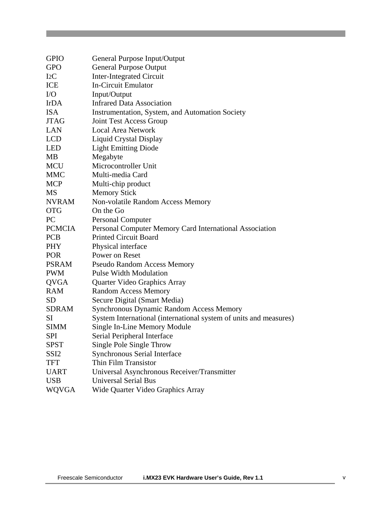| <b>GPIO</b>      | General Purpose Input/Output                                      |
|------------------|-------------------------------------------------------------------|
| <b>GPO</b>       | <b>General Purpose Output</b>                                     |
| I2C              | <b>Inter-Integrated Circuit</b>                                   |
| ICE              | <b>In-Circuit Emulator</b>                                        |
| $\rm LO$         | Input/Output                                                      |
| <b>IrDA</b>      | <b>Infrared Data Association</b>                                  |
| <b>ISA</b>       | Instrumentation, System, and Automation Society                   |
| <b>JTAG</b>      | Joint Test Access Group                                           |
| LAN              | <b>Local Area Network</b>                                         |
| <b>LCD</b>       | Liquid Crystal Display                                            |
| <b>LED</b>       | <b>Light Emitting Diode</b>                                       |
| MB               | Megabyte                                                          |
| <b>MCU</b>       | Microcontroller Unit                                              |
| <b>MMC</b>       | Multi-media Card                                                  |
| <b>MCP</b>       | Multi-chip product                                                |
| MS               | <b>Memory Stick</b>                                               |
| <b>NVRAM</b>     | Non-volatile Random Access Memory                                 |
| <b>OTG</b>       | On the Go                                                         |
| <b>PC</b>        | <b>Personal Computer</b>                                          |
| <b>PCMCIA</b>    | Personal Computer Memory Card International Association           |
| <b>PCB</b>       | <b>Printed Circuit Board</b>                                      |
| <b>PHY</b>       | Physical interface                                                |
| <b>POR</b>       | Power on Reset                                                    |
| <b>PSRAM</b>     | <b>Pseudo Random Access Memory</b>                                |
| <b>PWM</b>       | <b>Pulse Width Modulation</b>                                     |
| <b>QVGA</b>      | Quarter Video Graphics Array                                      |
| <b>RAM</b>       | <b>Random Access Memory</b>                                       |
| <b>SD</b>        | Secure Digital (Smart Media)                                      |
| <b>SDRAM</b>     | <b>Synchronous Dynamic Random Access Memory</b>                   |
| <b>SI</b>        | System International (international system of units and measures) |
| <b>SIMM</b>      | Single In-Line Memory Module                                      |
| <b>SPI</b>       | Serial Peripheral Interface                                       |
| SPST             | Single Pole Single Throw                                          |
| SSI <sub>2</sub> | Synchronous Serial Interface                                      |
| TFT              | Thin Film Transistor                                              |
| <b>UART</b>      | Universal Asynchronous Receiver/Transmitter                       |
| <b>USB</b>       | <b>Universal Serial Bus</b>                                       |
| WQVGA            | Wide Quarter Video Graphics Array                                 |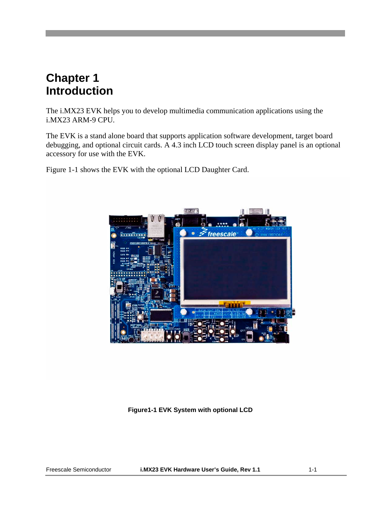# <span id="page-6-0"></span>**Chapter 1 Introduction**

The i.MX23 EVK helps you to develop multimedia communication applications using the i.MX23 ARM-9 CPU.

The EVK is a stand alone board that supports application software development, target board debugging, and optional circuit cards. A 4.3 inch LCD touch screen display panel is an optional accessory for use with the EVK.

Figure 1-1 shows the EVK with the optional LCD Daughter Card.



**Figure1-1 EVK System with optional LCD**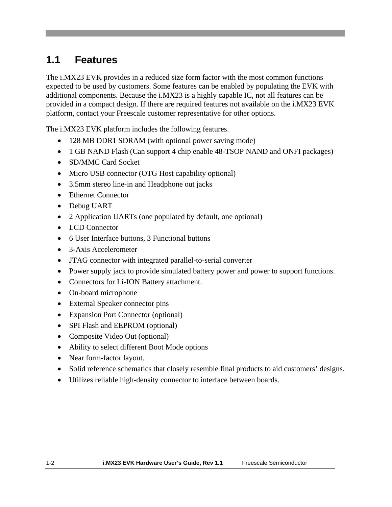# **1.1 Features**

<span id="page-7-0"></span>The i.MX23 EVK provides in a reduced size form factor with the most common functions expected to be used by customers. Some features can be enabled by populating the EVK with additional components. Because the i.MX23 is a highly capable IC, not all features can be provided in a compact design. If there are required features not available on the i.MX23 EVK platform, contact your Freescale customer representative for other options.

The i.MX23 EVK platform includes the following features.

- 128 MB DDR1 SDRAM (with optional power saving mode)
- 1 GB NAND Flash (Can support 4 chip enable 48-TSOP NAND and ONFI packages)
- SD/MMC Card Socket
- Micro USB connector (OTG Host capability optional)
- 3.5mm stereo line-in and Headphone out jacks
- Ethernet Connector
- Debug UART
- 2 Application UARTs (one populated by default, one optional)
- LCD Connector
- 6 User Interface buttons, 3 Functional buttons
- 3-Axis Accelerometer
- JTAG connector with integrated parallel-to-serial converter
- Power supply jack to provide simulated battery power and power to support functions.
- Connectors for Li-ION Battery attachment.
- On-board microphone
- External Speaker connector pins
- Expansion Port Connector (optional)
- SPI Flash and EEPROM (optional)
- Composite Video Out (optional)
- Ability to select different Boot Mode options
- Near form-factor layout.
- Solid reference schematics that closely resemble final products to aid customers' designs.
- Utilizes reliable high-density connector to interface between boards.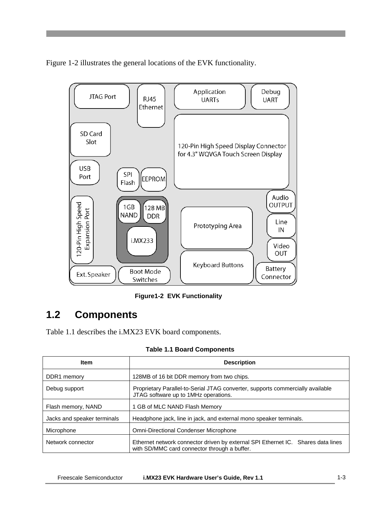Figure 1-2 illustrates the general locations of the EVK functionality.



**Figure1-2 EVK Functionality**

# <span id="page-8-0"></span>**1.2 Components**

Table 1.1 describes the i.MX23 EVK board components.

| <b>Item</b>                 | <b>Description</b>                                                                                                               |  |
|-----------------------------|----------------------------------------------------------------------------------------------------------------------------------|--|
| DDR1 memory                 | 128MB of 16 bit DDR memory from two chips.                                                                                       |  |
| Debug support               | Proprietary Parallel-to-Serial JTAG converter, supports commercially available<br>JTAG software up to 1MHz operations.           |  |
| Flash memory, NAND          | 1 GB of MLC NAND Flash Memory                                                                                                    |  |
| Jacks and speaker terminals | Headphone jack, line in jack, and external mono speaker terminals.                                                               |  |
| Microphone                  | <b>Omni-Directional Condenser Microphone</b>                                                                                     |  |
| Network connector           | Ethernet network connector driven by external SPI Ethernet IC. Shares data lines<br>with SD/MMC card connector through a buffer. |  |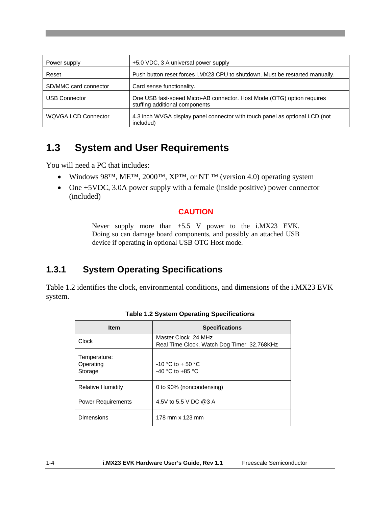| Power supply               | +5.0 VDC, 3 A universal power supply                                                                     |
|----------------------------|----------------------------------------------------------------------------------------------------------|
| Reset                      | Push button reset forces i.MX23 CPU to shutdown. Must be restarted manually.                             |
| SD/MMC card connector      | Card sense functionality.                                                                                |
| <b>USB Connector</b>       | One USB fast-speed Micro-AB connector. Host Mode (OTG) option requires<br>stuffing additional components |
| <b>WQVGA LCD Connector</b> | 4.3 inch WVGA display panel connector with touch panel as optional LCD (not<br>included)                 |

# <span id="page-9-0"></span>**1.3 System and User Requirements**

You will need a PC that includes:

- Windows 98<sup>TM</sup>, ME<sup>TM</sup>, 2000<sup>TM</sup>, XP<sup>TM</sup>, or NT<sup>TM</sup> (version 4.0) operating system
- One +5VDC, 3.0A power supply with a female (inside positive) power connector (included)

#### **CAUTION**

Never supply more than +5.5 V power to the i.MX23 EVK. Doing so can damage board components, and possibly an attached USB device if operating in optional USB OTG Host mode.

### <span id="page-9-1"></span>**1.3.1 System Operating Specifications**

Table 1.2 identifies the clock, environmental conditions, and dimensions of the i.MX23 EVK system.

| <b>Item</b>                          | <b>Specifications</b>                                             |
|--------------------------------------|-------------------------------------------------------------------|
| Clock                                | Master Clock 24 MHz<br>Real Time Clock, Watch Dog Timer 32.768KHz |
| Temperature:<br>Operating<br>Storage | $-10$ °C to + 50 °C<br>-40 $^{\circ}$ C to +85 $^{\circ}$ C       |
| <b>Relative Humidity</b>             | 0 to 90% (noncondensing)                                          |
| <b>Power Requirements</b>            | 4.5V to 5.5 V DC @3 A                                             |
| Dimensions                           | 178 mm x 123 mm                                                   |

| <b>Table 1.2 System Operating Specifications</b> |  |  |  |  |
|--------------------------------------------------|--|--|--|--|
|--------------------------------------------------|--|--|--|--|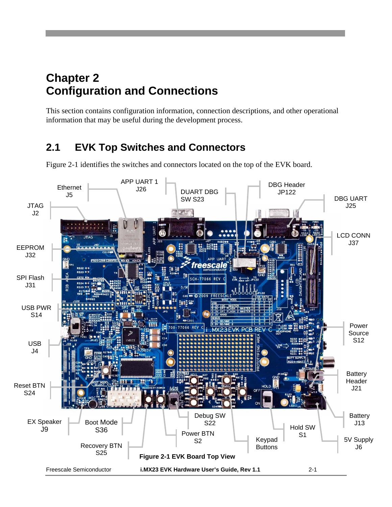# <span id="page-10-0"></span>**Chapter 2 Configuration and Connections**

This section contains configuration information, connection descriptions, and other operational information that may be useful during the development process.

# <span id="page-10-1"></span>**2.1 EVK Top Switches and Connectors**

<span id="page-10-2"></span>

Figure 2-1 identifies the switches and connectors located on the top of the EVK board.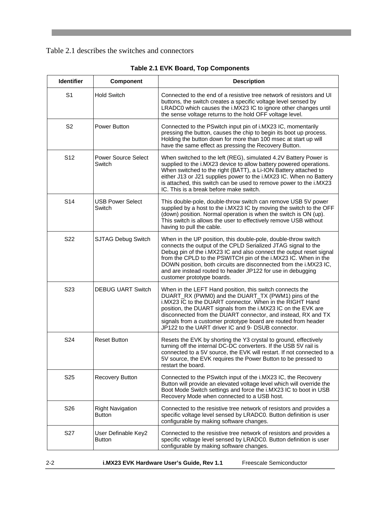#### [Table 2.1](#page-10-2) describes the switches and connectors

| Identifier       | Component                            | <b>Description</b>                                                                                                                                                                                                                                                                                                                                                                                                                         |
|------------------|--------------------------------------|--------------------------------------------------------------------------------------------------------------------------------------------------------------------------------------------------------------------------------------------------------------------------------------------------------------------------------------------------------------------------------------------------------------------------------------------|
| S <sub>1</sub>   | <b>Hold Switch</b>                   | Connected to the end of a resistive tree network of resistors and UI<br>buttons, the switch creates a specific voltage level sensed by<br>LRADC0 which causes the i.MX23 IC to ignore other changes until<br>the sense voltage returns to the hold OFF voltage level.                                                                                                                                                                      |
| S <sub>2</sub>   | Power Button                         | Connected to the PSwitch input pin of i.MX23 IC, momentarily<br>pressing the button, causes the chip to begin its boot up process.<br>Holding the button down for more than 100 msec at start up will<br>have the same effect as pressing the Recovery Button.                                                                                                                                                                             |
| S <sub>12</sub>  | <b>Power Source Select</b><br>Switch | When switched to the left (REG), simulated 4.2V Battery Power is<br>supplied to the i.MX23 device to allow battery powered operations.<br>When switched to the right (BATT), a Li-ION Battery attached to<br>either J13 or J21 supplies power to the i.MX23 IC. When no Battery<br>is attached, this switch can be used to remove power to the i.MX23<br>IC. This is a break before make switch.                                           |
| S14              | <b>USB Power Select</b><br>Switch    | This double-pole, double-throw switch can remove USB 5V power<br>supplied by a host to the i.MX23 IC by moving the switch to the OFF<br>(down) position. Normal operation is when the switch is ON (up).<br>This switch is allows the user to effectively remove USB without<br>having to pull the cable.                                                                                                                                  |
| S <sub>22</sub>  | <b>SJTAG Debug Switch</b>            | When in the UP position, this double-pole, double-throw switch<br>connects the output of the CPLD Serialized JTAG signal to the<br>Debug pin of the i.MX23 IC and also connect the output reset signal<br>from the CPLD to the PSWITCH pin of the i.MX23 IC. When in the<br>DOWN position, both circuits are disconnected from the i.MX23 IC,<br>and are instead routed to header JP122 for use in debugging<br>customer prototype boards. |
| S <sub>2</sub> 3 | <b>DEBUG UART Switch</b>             | When in the LEFT Hand position, this switch connects the<br>DUART_RX (PWM0) and the DUART_TX (PWM1) pins of the<br>i.MX23 IC to the DUART connector. When in the RIGHT Hand<br>position, the DUART signals from the i.MX23 IC on the EVK are<br>disconnected from the DUART connector, and instead, RX and TX<br>signals from a customer prototype board are routed from header<br>JP122 to the UART driver IC and 9- DSUB connector.      |
| S <sub>24</sub>  | <b>Reset Button</b>                  | Resets the EVK by shorting the Y3 crystal to ground, effectively<br>turning off the internal DC-DC converters. If the USB 5V rail is<br>connected to a 5V source, the EVK will restart. If not connected to a<br>5V source, the EVK requires the Power Button to be pressed to<br>restart the board.                                                                                                                                       |
| S <sub>25</sub>  | Recovery Button                      | Connected to the PSwitch input of the i.MX23 IC, the Recovery<br>Button will provide an elevated voltage level which will override the<br>Boot Mode Switch settings and force the i.MX23 IC to boot in USB<br>Recovery Mode when connected to a USB host.                                                                                                                                                                                  |
| S <sub>26</sub>  | <b>Right Navigation</b><br>Button    | Connected to the resistive tree network of resistors and provides a<br>specific voltage level sensed by LRADC0. Button definition is user<br>configurable by making software changes.                                                                                                                                                                                                                                                      |
| S <sub>27</sub>  | User Definable Key2<br>Button        | Connected to the resistive tree network of resistors and provides a<br>specific voltage level sensed by LRADC0. Button definition is user<br>configurable by making software changes.                                                                                                                                                                                                                                                      |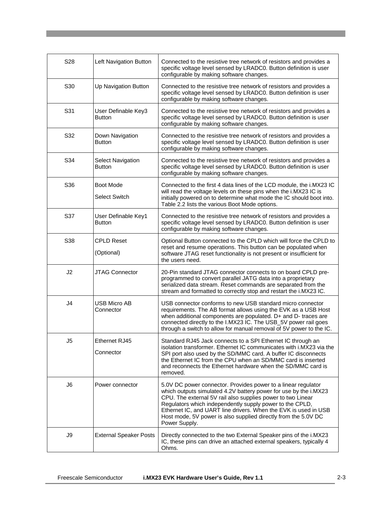| S28            | Left Navigation Button                    | Connected to the resistive tree network of resistors and provides a<br>specific voltage level sensed by LRADC0. Button definition is user<br>configurable by making software changes.                                                                                                                                                                                                                              |
|----------------|-------------------------------------------|--------------------------------------------------------------------------------------------------------------------------------------------------------------------------------------------------------------------------------------------------------------------------------------------------------------------------------------------------------------------------------------------------------------------|
| S30            | Up Navigation Button                      | Connected to the resistive tree network of resistors and provides a<br>specific voltage level sensed by LRADC0. Button definition is user<br>configurable by making software changes.                                                                                                                                                                                                                              |
| S31            | User Definable Key3<br><b>Button</b>      | Connected to the resistive tree network of resistors and provides a<br>specific voltage level sensed by LRADC0. Button definition is user<br>configurable by making software changes.                                                                                                                                                                                                                              |
| S32            | Down Navigation<br><b>Button</b>          | Connected to the resistive tree network of resistors and provides a<br>specific voltage level sensed by LRADC0. Button definition is user<br>configurable by making software changes.                                                                                                                                                                                                                              |
| S34            | <b>Select Navigation</b><br><b>Button</b> | Connected to the resistive tree network of resistors and provides a<br>specific voltage level sensed by LRADC0. Button definition is user<br>configurable by making software changes.                                                                                                                                                                                                                              |
| S36            | Boot Mode<br><b>Select Switch</b>         | Connected to the first 4 data lines of the LCD module, the i.MX23 IC<br>will read the voltage levels on these pins when the i.MX23 IC is<br>initially powered on to determine what mode the IC should boot into.<br>Table 2.2 lists the various Boot Mode options.                                                                                                                                                 |
| S37            | User Definable Key1<br><b>Button</b>      | Connected to the resistive tree network of resistors and provides a<br>specific voltage level sensed by LRADC0. Button definition is user<br>configurable by making software changes.                                                                                                                                                                                                                              |
| S38            | <b>CPLD Reset</b><br>(Optional)           | Optional Button connected to the CPLD which will force the CPLD to<br>reset and resume operations. This button can be populated when<br>software JTAG reset functionality is not present or insufficient for<br>the users need.                                                                                                                                                                                    |
| J2             | JTAG Connector                            | 20-Pin standard JTAG connector connects to on board CPLD pre-<br>programmed to convert parallel JATG data into a proprietary<br>serialized data stream. Reset commands are separated from the<br>stream and formatted to correctly stop and restart the i.MX23 IC.                                                                                                                                                 |
| J <sub>4</sub> | <b>USB Micro AB</b><br>Connector          | USB connector conforms to new USB standard micro connector<br>requirements. The AB format allows using the EVK as a USB Host<br>when additional components are populated. D+ and D- traces are<br>connected directly to the I.MX23 IC. The USB_5V power rail goes<br>through a switch to allow for manual removal of 5V power to the IC.                                                                           |
| J5             | Ethernet RJ45<br>Connector                | Standard RJ45 Jack connects to a SPI Ethernet IC through an<br>isolation transformer. Ethernet IC communicates with i.MX23 via the<br>SPI port also used by the SD/MMC card. A buffer IC disconnects<br>the Ethernet IC from the CPU when an SD/MMC card is inserted<br>and reconnects the Ethernet hardware when the SD/MMC card is<br>removed.                                                                   |
| J6             | Power connector                           | 5.0V DC power connector. Provides power to a linear regulator<br>which outputs simulated 4.2V battery power for use by the i.MX23<br>CPU. The external 5V rail also supplies power to two Linear<br>Regulators which independently supply power to the CPLD,<br>Ethernet IC, and UART line drivers. When the EVK is used in USB<br>Host mode, 5V power is also supplied directly from the 5.0V DC<br>Power Supply. |
| J9             | <b>External Speaker Posts</b>             | Directly connected to the two External Speaker pins of the i.MX23<br>IC, these pins can drive an attached external speakers, typically 4<br>Ohms.                                                                                                                                                                                                                                                                  |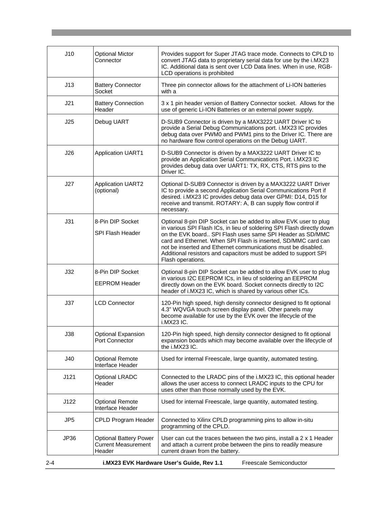| J10  | <b>Optional Mictor</b><br>Connector                                   | Provides support for Super JTAG trace mode. Connects to CPLD to<br>convert JTAG data to proprietary serial data for use by the i.MX23<br>IC. Additional data is sent over LCD Data lines. When in use, RGB-<br>LCD operations is prohibited                                                                                                                                                                                         |
|------|-----------------------------------------------------------------------|-------------------------------------------------------------------------------------------------------------------------------------------------------------------------------------------------------------------------------------------------------------------------------------------------------------------------------------------------------------------------------------------------------------------------------------|
| J13  | <b>Battery Connector</b><br>Socket                                    | Three pin connector allows for the attachment of Li-ION batteries<br>with a                                                                                                                                                                                                                                                                                                                                                         |
| J21  | <b>Battery Connection</b><br>Header                                   | 3 x 1 pin header version of Battery Connector socket. Allows for the<br>use of generic Li-ION Batteries or an external power supply.                                                                                                                                                                                                                                                                                                |
| J25  | Debug UART                                                            | D-SUB9 Connector is driven by a MAX3222 UART Driver IC to<br>provide a Serial Debug Communications port. i.MX23 IC provides<br>debug data over PWM0 and PWM1 pins to the Driver IC. There are<br>no hardware flow control operations on the Debug UART.                                                                                                                                                                             |
| J26  | <b>Application UART1</b>                                              | D-SUB9 Connector is driven by a MAX3222 UART Driver IC to<br>provide an Application Serial Communications Port. i.MX23 IC<br>provides debug data over UART1: TX, RX, CTS, RTS pins to the<br>Driver IC.                                                                                                                                                                                                                             |
| J27  | <b>Application UART2</b><br>(optional)                                | Optional D-SUB9 Connector is driven by a MAX3222 UART Driver<br>IC to provide a second Application Serial Communications Port if<br>desired. i.MX23 IC provides debug data over GPMI: D14, D15 for<br>receive and transmit. ROTARY: A, B can supply flow control if<br>necessary.                                                                                                                                                   |
| J31  | 8-Pin DIP Socket<br>SPI Flash Header                                  | Optional 8-pin DIP Socket can be added to allow EVK user to plug<br>in various SPI Flash ICs, in lieu of soldering SPI Flash directly down<br>on the EVK board SPI Flash uses same SPI Header as SD/MMC<br>card and Ethernet. When SPI Flash is inserted, SD/MMC card can<br>not be inserted and Ethernet communications must be disabled.<br>Additional resistors and capacitors must be added to support SPI<br>Flash operations. |
| J32  | 8-Pin DIP Socket<br><b>EEPROM Header</b>                              | Optional 8-pin DIP Socket can be added to allow EVK user to plug<br>in various I2C EEPROM ICs, in lieu of soldering an EEPROM<br>directly down on the EVK board. Socket connects directly to I2C<br>header of i.MX23 IC, which is shared by various other ICs.                                                                                                                                                                      |
| J37  | <b>LCD Connector</b>                                                  | 120-Pin high speed, high density connector designed to fit optional<br>4.3" WQVGA touch screen display panel. Other panels may<br>become available for use by the EVK over the lifecycle of the<br>i.MX23 IC.                                                                                                                                                                                                                       |
| J38  | Optional Expansion<br>Port Connector                                  | 120-Pin high speed, high density connector designed to fit optional<br>expansion boards which may become available over the lifecycle of<br>the i.MX23 IC.                                                                                                                                                                                                                                                                          |
| J40  | <b>Optional Remote</b><br>Interface Header                            | Used for internal Freescale, large quantity, automated testing.                                                                                                                                                                                                                                                                                                                                                                     |
| J121 | Optional LRADC<br>Header                                              | Connected to the LRADC pins of the i.MX23 IC, this optional header<br>allows the user access to connect LRADC inputs to the CPU for<br>uses other than those normally used by the EVK.                                                                                                                                                                                                                                              |
| J122 | <b>Optional Remote</b><br>Interface Header                            | Used for internal Freescale, large quantity, automated testing.                                                                                                                                                                                                                                                                                                                                                                     |
| JP5  | CPLD Program Header                                                   | Connected to Xilinx CPLD programming pins to allow in-situ<br>programming of the CPLD.                                                                                                                                                                                                                                                                                                                                              |
| JP36 | <b>Optional Battery Power</b><br><b>Current Measurement</b><br>Header | User can cut the traces between the two pins, install a 2 x 1 Header<br>and attach a current probe between the pins to readily measure<br>current drawn from the battery.                                                                                                                                                                                                                                                           |
| 2-4  |                                                                       | Freescale Semiconductor<br>i.MX23 EVK Hardware User's Guide, Rev 1.1                                                                                                                                                                                                                                                                                                                                                                |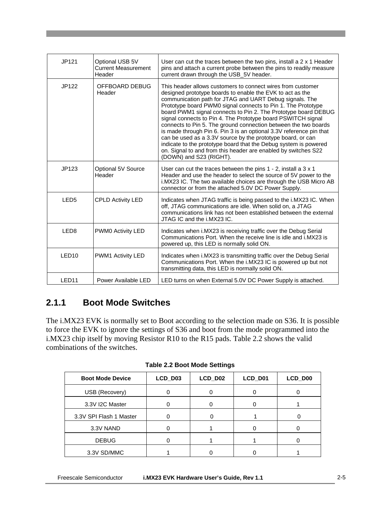| JP121             | Optional USB 5V<br><b>Current Measurement</b><br>Header | User can cut the traces between the two pins, install a 2 x 1 Header<br>pins and attach a current probe between the pins to readily measure<br>current drawn through the USB_5V header.                                                                                                                                                                                                                                                                                                                                                                                                                                                                                                                                                                         |
|-------------------|---------------------------------------------------------|-----------------------------------------------------------------------------------------------------------------------------------------------------------------------------------------------------------------------------------------------------------------------------------------------------------------------------------------------------------------------------------------------------------------------------------------------------------------------------------------------------------------------------------------------------------------------------------------------------------------------------------------------------------------------------------------------------------------------------------------------------------------|
| JP122             | OFFBOARD DEBUG<br>Header                                | This header allows customers to connect wires from customer<br>designed prototype boards to enable the EVK to act as the<br>communication path for JTAG and UART Debug signals. The<br>Prototype board PWM0 signal connects to Pin 1. The Prototype<br>board PWM1 signal connects to Pin 2. The Prototype board DEBUG<br>signal connects to Pin 4. The Prototype board PSWITCH signal<br>connects to Pin 5. The ground connection between the two boards<br>is made through Pin 6. Pin 3 is an optional 3.3V reference pin that<br>can be used as a 3.3V source by the prototype board, or can<br>indicate to the prototype board that the Debug system is powered<br>on. Signal to and from this header are enabled by switches S22<br>(DOWN) and S23 (RIGHT). |
| JP123             | Optional 5V Source<br>Header                            | User can cut the traces between the pins $1 - 2$ , install a $3 \times 1$<br>Header and use the header to select the source of 5V power to the<br>i.MX23 IC. The two available choices are through the USB Micro AB<br>connector or from the attached 5.0V DC Power Supply.                                                                                                                                                                                                                                                                                                                                                                                                                                                                                     |
| LED <sub>5</sub>  | <b>CPLD Activity LED</b>                                | Indicates when JTAG traffic is being passed to the i.MX23 IC. When<br>off, JTAG communications are idle. When solid on, a JTAG<br>communications link has not been established between the external<br>JTAG IC and the i.MX23 IC.                                                                                                                                                                                                                                                                                                                                                                                                                                                                                                                               |
| LED <sub>8</sub>  | PWM0 Activity LED                                       | Indicates when i.MX23 is receiving traffic over the Debug Serial<br>Communications Port. When the receive line is idle and <i>i.MX23</i> is<br>powered up, this LED is normally solid ON.                                                                                                                                                                                                                                                                                                                                                                                                                                                                                                                                                                       |
| LED <sub>10</sub> | PWM1 Activity LED                                       | Indicates when i.MX23 is transmitting traffic over the Debug Serial<br>Communications Port. When the i.MX23 IC is powered up but not<br>transmitting data, this LED is normally solid ON.                                                                                                                                                                                                                                                                                                                                                                                                                                                                                                                                                                       |
| LED <sub>11</sub> | Power Available LED                                     | LED turns on when External 5.0V DC Power Supply is attached.                                                                                                                                                                                                                                                                                                                                                                                                                                                                                                                                                                                                                                                                                                    |

#### <span id="page-14-0"></span>**2.1.1 Boot Mode Switches**

The i.MX23 EVK is normally set to Boot according to the selection made on S36. It is possible to force the EVK to ignore the settings of S36 and boot from the mode programmed into the i.MX23 chip itself by moving Resistor R10 to the R15 pads. Table 2.2 shows the valid combinations of the switches.

| <b>Boot Mode Device</b> | LCD_D03 | LCD_D02 | LCD_D01 | LCD_D00 |
|-------------------------|---------|---------|---------|---------|
| USB (Recovery)          |         |         |         |         |
| 3.3V I2C Master         |         |         |         |         |
| 3.3V SPI Flash 1 Master |         |         |         |         |
| 3.3V NAND               |         |         |         |         |
| <b>DEBUG</b>            |         |         |         |         |
| 3.3V SD/MMC             |         |         |         |         |

**Table 2.2 Boot Mode Settings**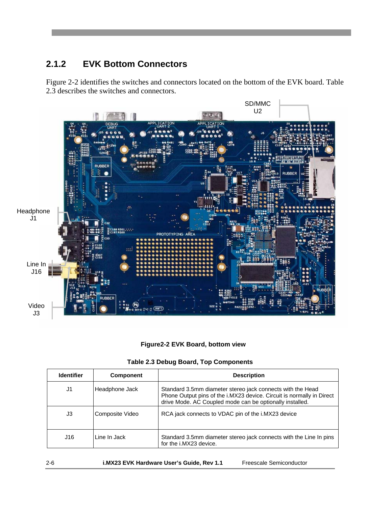### <span id="page-15-0"></span>**2.1.2 EVK Bottom Connectors**

Figure 2-2 identifies the switches and connectors located on the bottom of the EVK board. Table 2.3 describes the switches and connectors.



#### **Figure2-2 EVK Board, bottom view**

|  |  |  |  | Table 2.3 Debug Board, Top Components |
|--|--|--|--|---------------------------------------|
|--|--|--|--|---------------------------------------|

| <b>Identifier</b> | <b>Component</b> | <b>Description</b>                                                                                                                                                                              |
|-------------------|------------------|-------------------------------------------------------------------------------------------------------------------------------------------------------------------------------------------------|
| J1                | Headphone Jack   | Standard 3.5mm diameter stereo jack connects with the Head<br>Phone Output pins of the i.MX23 device. Circuit is normally in Direct<br>drive Mode. AC Coupled mode can be optionally installed. |
| J3                | Composite Video  | RCA jack connects to VDAC pin of the i.MX23 device                                                                                                                                              |
| J16               | Line In Jack     | Standard 3.5mm diameter stereo jack connects with the Line In pins<br>for the i.MX23 device.                                                                                                    |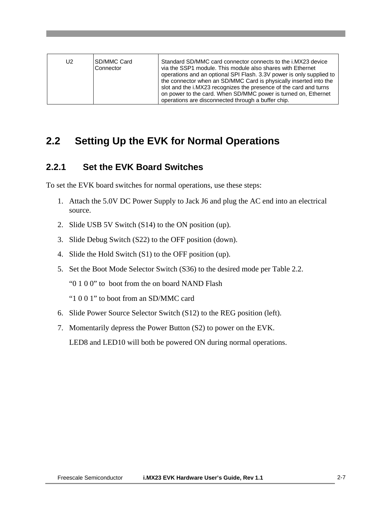| U2 | ISD/MMC Card<br>Connector | Standard SD/MMC card connector connects to the i.MX23 device<br>via the SSP1 module. This module also shares with Ethernet<br>operations and an optional SPI Flash. 3.3V power is only supplied to<br>the connector when an SD/MMC Card is physically inserted into the<br>slot and the i.MX23 recognizes the presence of the card and turns<br>on power to the card. When SD/MMC power is turned on, Ethernet<br>operations are disconnected through a buffer chip. |
|----|---------------------------|----------------------------------------------------------------------------------------------------------------------------------------------------------------------------------------------------------------------------------------------------------------------------------------------------------------------------------------------------------------------------------------------------------------------------------------------------------------------|
|----|---------------------------|----------------------------------------------------------------------------------------------------------------------------------------------------------------------------------------------------------------------------------------------------------------------------------------------------------------------------------------------------------------------------------------------------------------------------------------------------------------------|

### <span id="page-16-1"></span><span id="page-16-0"></span>**2.2 Setting Up the EVK for Normal Operations**

#### **2.2.1 Set the EVK Board Switches**

To set the EVK board switches for normal operations, use these steps:

- 1. Attach the 5.0V DC Power Supply to Jack J6 and plug the AC end into an electrical source.
- 2. Slide USB 5V Switch (S14) to the ON position (up).
- 3. Slide Debug Switch (S22) to the OFF position (down).
- 4. Slide the Hold Switch (S1) to the OFF position (up).
- 5. Set the Boot Mode Selector Switch (S36) to the desired mode per Table 2.2.
	- "0 1 0 0" to boot from the on board NAND Flash
	- "1 0 0 1" to boot from an SD/MMC card
- 6. Slide Power Source Selector Switch (S12) to the REG position (left).
- 7. Momentarily depress the Power Button (S2) to power on the EVK.

LED8 and LED10 will both be powered ON during normal operations.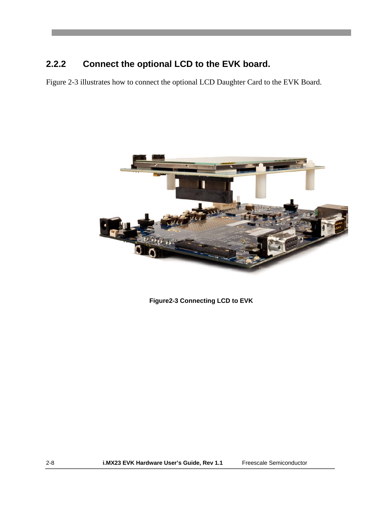### <span id="page-17-0"></span>**2.2.2 Connect the optional LCD to the EVK board.**

Figure 2-3 illustrates how to connect the optional LCD Daughter Card to the EVK Board.



**Figure2-3 Connecting LCD to EVK**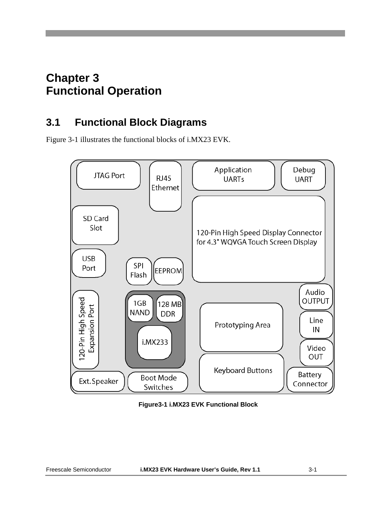# <span id="page-18-0"></span>**Chapter 3 Functional Operation**

# <span id="page-18-1"></span>**3.1 Functional Block Diagrams**

Figure 3-1 illustrates the functional blocks of i.MX23 EVK.



**Figure3-1 i.MX23 EVK Functional Block**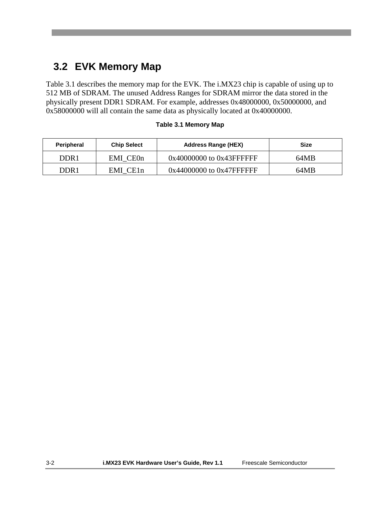# <span id="page-19-0"></span>**3.2 EVK Memory Map**

Table 3.1 describes the memory map for the EVK. The i.MX23 chip is capable of using up to 512 MB of SDRAM. The unused Address Ranges for SDRAM mirror the data stored in the physically present DDR1 SDRAM. For example, addresses 0x48000000, 0x50000000, and 0x58000000 will all contain the same data as physically located at 0x40000000.

| <b>Peripheral</b> | <b>Chip Select</b>    | <b>Address Range (HEX)</b>    | <b>Size</b> |
|-------------------|-----------------------|-------------------------------|-------------|
| DDR1              | EMI CE <sub>0</sub> n | 0x40000000 to 0x43FFFFFF      | 64MB        |
| DDR 1             | EMI CE1n              | $0x44000000$ to $0x47$ FFFFFF | 64MB        |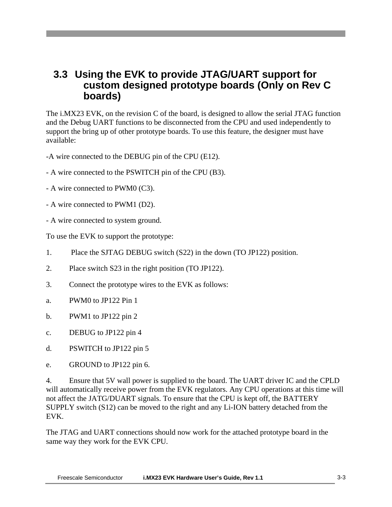### <span id="page-20-0"></span>**3.3 Using the EVK to provide JTAG/UART support for custom designed prototype boards (Only on Rev C boards)**

The i.MX23 EVK, on the revision C of the board, is designed to allow the serial JTAG function and the Debug UART functions to be disconnected from the CPU and used independently to support the bring up of other prototype boards. To use this feature, the designer must have available:

- -A wire connected to the DEBUG pin of the CPU (E12).
- A wire connected to the PSWITCH pin of the CPU (B3).
- A wire connected to PWM0 (C3).
- A wire connected to PWM1 (D2).
- A wire connected to system ground.

To use the EVK to support the prototype:

- 1. Place the SJTAG DEBUG switch (S22) in the down (TO JP122) position.
- 2. Place switch S23 in the right position (TO JP122).
- 3. Connect the prototype wires to the EVK as follows:
- a. PWM0 to JP122 Pin 1
- b. PWM1 to JP122 pin 2
- c. DEBUG to JP122 pin 4
- d. PSWITCH to JP122 pin 5
- e. GROUND to JP122 pin 6.

4. Ensure that 5V wall power is supplied to the board. The UART driver IC and the CPLD will automatically receive power from the EVK regulators. Any CPU operations at this time will not affect the JATG/DUART signals. To ensure that the CPU is kept off, the BATTERY SUPPLY switch (S12) can be moved to the right and any Li-ION battery detached from the EVK.

The JTAG and UART connections should now work for the attached prototype board in the same way they work for the EVK CPU.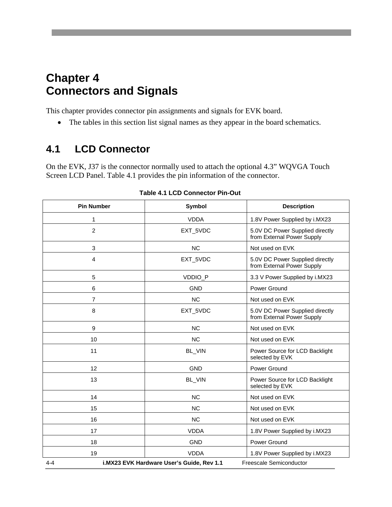# <span id="page-21-0"></span>**Chapter 4 Connectors and Signals**

This chapter provides connector pin assignments and signals for EVK board.

• The tables in this section list signal names as they appear in the board schematics.

### <span id="page-21-1"></span>**4.1 LCD Connector**

On the EVK, J37 is the connector normally used to attach the optional 4.3" WQVGA Touch Screen LCD Panel. Table 4.1 provides the pin information of the connector.

| <b>Pin Number</b> | Symbol                                                               | <b>Description</b>                                            |  |
|-------------------|----------------------------------------------------------------------|---------------------------------------------------------------|--|
| 1                 | <b>VDDA</b>                                                          | 1.8V Power Supplied by i.MX23                                 |  |
| $\overline{c}$    | EXT_5VDC                                                             | 5.0V DC Power Supplied directly<br>from External Power Supply |  |
| 3                 | <b>NC</b>                                                            | Not used on EVK                                               |  |
| 4                 | EXT_5VDC                                                             | 5.0V DC Power Supplied directly<br>from External Power Supply |  |
| 5                 | VDDIO_P                                                              | 3.3 V Power Supplied by i.MX23                                |  |
| 6                 | <b>GND</b>                                                           | Power Ground                                                  |  |
| 7                 | <b>NC</b>                                                            | Not used on EVK                                               |  |
| 8                 | EXT_5VDC                                                             | 5.0V DC Power Supplied directly<br>from External Power Supply |  |
| 9                 | <b>NC</b>                                                            | Not used on EVK                                               |  |
| 10                | <b>NC</b>                                                            | Not used on EVK                                               |  |
| 11                | BL_VIN                                                               | Power Source for LCD Backlight<br>selected by EVK             |  |
| 12                | <b>GND</b>                                                           | Power Ground                                                  |  |
| 13                | BL_VIN                                                               | Power Source for LCD Backlight<br>selected by EVK             |  |
| 14                | <b>NC</b>                                                            | Not used on EVK                                               |  |
| 15                | <b>NC</b>                                                            | Not used on EVK                                               |  |
| 16                | <b>NC</b>                                                            | Not used on EVK                                               |  |
| 17                | <b>VDDA</b>                                                          | 1.8V Power Supplied by i.MX23                                 |  |
| 18                | <b>GND</b>                                                           | Power Ground                                                  |  |
| 19                | <b>VDDA</b>                                                          | 1.8V Power Supplied by i.MX23                                 |  |
| $4 - 4$           | i.MX23 EVK Hardware User's Guide, Rev 1.1<br>Freescale Semiconductor |                                                               |  |

**Table 4.1 LCD Connector Pin-Out**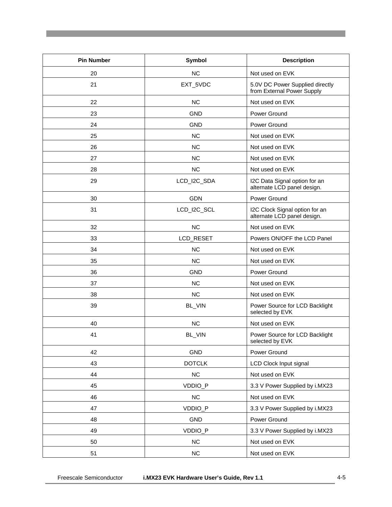| <b>Pin Number</b> | Symbol        | <b>Description</b>                                            |
|-------------------|---------------|---------------------------------------------------------------|
| 20                | <b>NC</b>     | Not used on EVK                                               |
| 21                | EXT_5VDC      | 5.0V DC Power Supplied directly<br>from External Power Supply |
| 22                | <b>NC</b>     | Not used on EVK                                               |
| 23                | <b>GND</b>    | Power Ground                                                  |
| 24                | <b>GND</b>    | Power Ground                                                  |
| 25                | <b>NC</b>     | Not used on EVK                                               |
| 26                | <b>NC</b>     | Not used on EVK                                               |
| 27                | <b>NC</b>     | Not used on EVK                                               |
| 28                | <b>NC</b>     | Not used on EVK                                               |
| 29                | LCD_I2C_SDA   | I2C Data Signal option for an<br>alternate LCD panel design.  |
| 30                | <b>GDN</b>    | Power Ground                                                  |
| 31                | LCD_I2C_SCL   | I2C Clock Signal option for an<br>alternate LCD panel design. |
| 32                | <b>NC</b>     | Not used on EVK                                               |
| 33                | LCD_RESET     | Powers ON/OFF the LCD Panel                                   |
| 34                | <b>NC</b>     | Not used on EVK                                               |
| 35                | <b>NC</b>     | Not used on EVK                                               |
| 36                | <b>GND</b>    | Power Ground                                                  |
| 37                | <b>NC</b>     | Not used on EVK                                               |
| 38                | <b>NC</b>     | Not used on EVK                                               |
| 39                | BL_VIN        | Power Source for LCD Backlight<br>selected by EVK             |
| 40                | <b>NC</b>     | Not used on EVK                                               |
| 41                | BL_VIN        | Power Source for LCD Backlight<br>selected by EVK             |
| 42                | <b>GND</b>    | Power Ground                                                  |
| 43                | <b>DOTCLK</b> | LCD Clock Input signal                                        |
| 44                | NC            | Not used on EVK                                               |
| 45                | VDDIO_P       | 3.3 V Power Supplied by i.MX23                                |
| 46                | NC            | Not used on EVK                                               |
| 47                | VDDIO_P       | 3.3 V Power Supplied by i.MX23                                |
| 48                | <b>GND</b>    | Power Ground                                                  |
| 49                | VDDIO_P       | 3.3 V Power Supplied by i.MX23                                |
| 50                | NC            | Not used on EVK                                               |
| 51                | NC            | Not used on EVK                                               |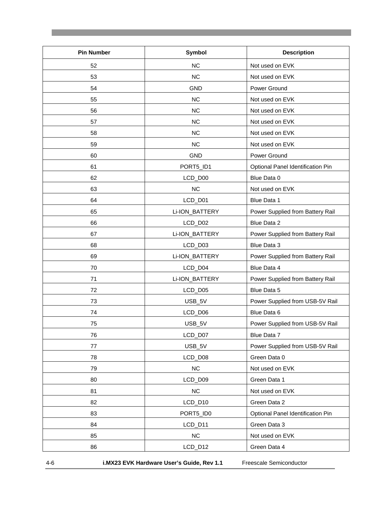| <b>Pin Number</b> | Symbol         | <b>Description</b>                |
|-------------------|----------------|-----------------------------------|
| 52                | <b>NC</b>      | Not used on EVK                   |
| 53                | NC             | Not used on EVK                   |
| 54                | <b>GND</b>     | Power Ground                      |
| 55                | <b>NC</b>      | Not used on EVK                   |
| 56                | <b>NC</b>      | Not used on EVK                   |
| 57                | NC             | Not used on EVK                   |
| 58                | <b>NC</b>      | Not used on EVK                   |
| 59                | NC             | Not used on EVK                   |
| 60                | <b>GND</b>     | Power Ground                      |
| 61                | PORT5_ID1      | Optional Panel Identification Pin |
| 62                | LCD_D00        | Blue Data 0                       |
| 63                | <b>NC</b>      | Not used on EVK                   |
| 64                | LCD_D01        | Blue Data 1                       |
| 65                | Li-ION_BATTERY | Power Supplied from Battery Rail  |
| 66                | LCD_D02        | Blue Data 2                       |
| 67                | Li-ION_BATTERY | Power Supplied from Battery Rail  |
| 68                | LCD_D03        | Blue Data 3                       |
| 69                | Li-ION_BATTERY | Power Supplied from Battery Rail  |
| 70                | LCD_D04        | Blue Data 4                       |
| 71                | Li-ION_BATTERY | Power Supplied from Battery Rail  |
| 72                | LCD_D05        | Blue Data 5                       |
| 73                | USB_5V         | Power Supplied from USB-5V Rail   |
| 74                | LCD_D06        | Blue Data 6                       |
| 75                | USB_5V         | Power Supplied from USB-5V Rail   |
| 76                | LCD_D07        | Blue Data 7                       |
| 77                | USB_5V         | Power Supplied from USB-5V Rail   |
| 78                | LCD_D08        | Green Data 0                      |
| 79                | NC             | Not used on EVK                   |
| 80                | LCD_D09        | Green Data 1                      |
| 81                | NC             | Not used on EVK                   |
| 82                | LCD_D10        | Green Data 2                      |
| 83                | PORT5_ID0      | Optional Panel Identification Pin |
| 84                | LCD_D11        | Green Data 3                      |
| 85                | NC             | Not used on EVK                   |
| 86                | LCD_D12        | Green Data 4                      |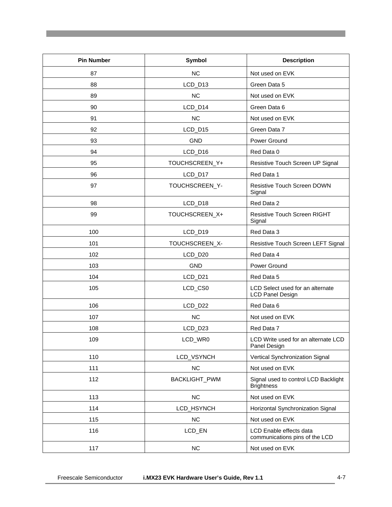| <b>Pin Number</b> | Symbol               | <b>Description</b>                                          |
|-------------------|----------------------|-------------------------------------------------------------|
| 87                | <b>NC</b>            | Not used on EVK                                             |
| 88                | LCD_D13              | Green Data 5                                                |
| 89                | <b>NC</b>            | Not used on EVK                                             |
| 90                | LCD_D14              | Green Data 6                                                |
| 91                | <b>NC</b>            | Not used on EVK                                             |
| 92                | LCD_D15              | Green Data 7                                                |
| 93                | <b>GND</b>           | Power Ground                                                |
| 94                | LCD_D16              | Red Data 0                                                  |
| 95                | TOUCHSCREEN_Y+       | Resistive Touch Screen UP Signal                            |
| 96                | LCD_D17              | Red Data 1                                                  |
| 97                | TOUCHSCREEN_Y-       | <b>Resistive Touch Screen DOWN</b><br>Signal                |
| 98                | LCD_D18              | Red Data 2                                                  |
| 99                | TOUCHSCREEN_X+       | <b>Resistive Touch Screen RIGHT</b><br>Signal               |
| 100               | LCD_D19              | Red Data 3                                                  |
| 101               | TOUCHSCREEN_X-       | Resistive Touch Screen LEFT Signal                          |
| 102               | LCD_D20              | Red Data 4                                                  |
| 103               | <b>GND</b>           | Power Ground                                                |
| 104               | LCD_D21              | Red Data 5                                                  |
| 105               | LCD_CS0              | LCD Select used for an alternate<br><b>LCD Panel Design</b> |
| 106               | LCD_D22              | Red Data 6                                                  |
| 107               | <b>NC</b>            | Not used on EVK                                             |
| 108               | LCD_D23              | Red Data 7                                                  |
| 109               | LCD_WR0              | LCD Write used for an alternate LCD<br>Panel Design         |
| 110               | LCD_VSYNCH           | Vertical Synchronization Signal                             |
| 111               | <b>NC</b>            | Not used on EVK                                             |
| 112               | <b>BACKLIGHT_PWM</b> | Signal used to control LCD Backlight<br><b>Brightness</b>   |
| 113               | <b>NC</b>            | Not used on EVK                                             |
| 114               | LCD_HSYNCH           | Horizontal Synchronization Signal                           |
| 115               | NC                   | Not used on EVK                                             |
| 116               | LCD_EN               | LCD Enable effects data<br>communications pins of the LCD   |
| 117               | NC                   | Not used on EVK                                             |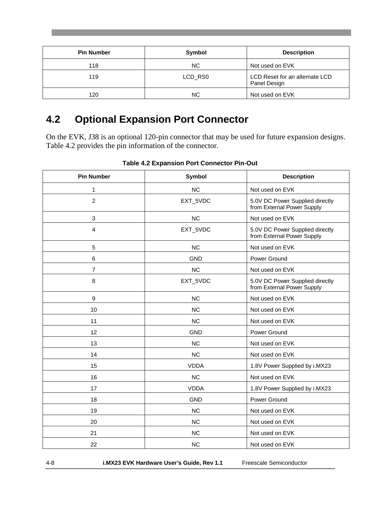| <b>Pin Number</b> | Symbol  | <b>Description</b>                             |
|-------------------|---------|------------------------------------------------|
| 118               | NC.     | Not used on EVK                                |
| 119               | LCD RS0 | LCD Reset for an alternate LCD<br>Panel Design |
| 120               | ΝC      | Not used on EVK                                |

# <span id="page-25-0"></span>**4.2 Optional Expansion Port Connector**

On the EVK, J38 is an optional 120-pin connector that may be used for future expansion designs. Table 4.2 provides the pin information of the connector.

| <b>Pin Number</b> | Symbol      | <b>Description</b>                                            |
|-------------------|-------------|---------------------------------------------------------------|
| 1                 | <b>NC</b>   | Not used on EVK                                               |
| $\overline{c}$    | EXT_5VDC    | 5.0V DC Power Supplied directly<br>from External Power Supply |
| 3                 | <b>NC</b>   | Not used on EVK                                               |
| 4                 | EXT_5VDC    | 5.0V DC Power Supplied directly<br>from External Power Supply |
| 5                 | <b>NC</b>   | Not used on EVK                                               |
| 6                 | <b>GND</b>  | Power Ground                                                  |
| $\overline{7}$    | <b>NC</b>   | Not used on EVK                                               |
| 8                 | EXT_5VDC    | 5.0V DC Power Supplied directly<br>from External Power Supply |
| 9                 | <b>NC</b>   | Not used on EVK                                               |
| 10                | <b>NC</b>   | Not used on EVK                                               |
| 11                | <b>NC</b>   | Not used on EVK                                               |
| 12                | <b>GND</b>  | Power Ground                                                  |
| 13                | <b>NC</b>   | Not used on EVK                                               |
| 14                | <b>NC</b>   | Not used on EVK                                               |
| 15                | <b>VDDA</b> | 1.8V Power Supplied by i.MX23                                 |
| 16                | <b>NC</b>   | Not used on EVK                                               |
| 17                | <b>VDDA</b> | 1.8V Power Supplied by i.MX23                                 |
| 18                | <b>GND</b>  | Power Ground                                                  |
| 19                | <b>NC</b>   | Not used on EVK                                               |
| 20                | <b>NC</b>   | Not used on EVK                                               |
| 21                | <b>NC</b>   | Not used on EVK                                               |
| 22                | <b>NC</b>   | Not used on EVK                                               |

**Table 4.2 Expansion Port Connector Pin-Out**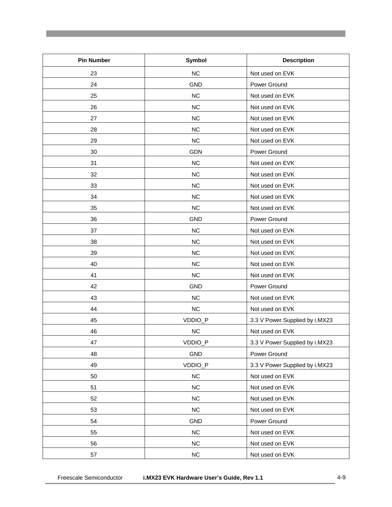| <b>Pin Number</b> | Symbol     | <b>Description</b>             |
|-------------------|------------|--------------------------------|
| 23                | NC         | Not used on EVK                |
| 24                | <b>GND</b> | Power Ground                   |
| 25                | NC         | Not used on EVK                |
| 26                | NC         | Not used on EVK                |
| 27                | NC         | Not used on EVK                |
| 28                | NC         | Not used on EVK                |
| 29                | NC         | Not used on EVK                |
| 30                | <b>GDN</b> | Power Ground                   |
| 31                | NC         | Not used on EVK                |
| 32                | NC         | Not used on EVK                |
| 33                | NC         | Not used on EVK                |
| 34                | NC         | Not used on EVK                |
| 35                | NC         | Not used on EVK                |
| 36                | <b>GND</b> | Power Ground                   |
| 37                | NC         | Not used on EVK                |
| 38                | NC         | Not used on EVK                |
| 39                | NC         | Not used on EVK                |
| 40                | NC         | Not used on EVK                |
| 41                | NC         | Not used on EVK                |
| 42                | <b>GND</b> | Power Ground                   |
| 43                | NC         | Not used on EVK                |
| 44                | NC         | Not used on EVK                |
| 45                | VDDIO_P    | 3.3 V Power Supplied by i.MX23 |
| 46                | NC         | Not used on EVK                |
| 47                | VDDIO_P    | 3.3 V Power Supplied by i.MX23 |
| 48                | GND        | Power Ground                   |
| 49                | VDDIO_P    | 3.3 V Power Supplied by i.MX23 |
| 50                | NC         | Not used on EVK                |
| 51                | NC         | Not used on EVK                |
| 52                | NC         | Not used on EVK                |
| 53                | NC         | Not used on EVK                |
| 54                | <b>GND</b> | Power Ground                   |
| 55                | NC         | Not used on EVK                |
| 56                | NC         | Not used on EVK                |
| 57                | NC         | Not used on EVK                |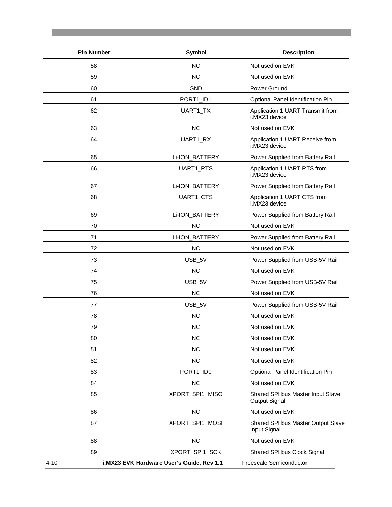| <b>Pin Number</b> | Symbol                                    | <b>Description</b>                                 |
|-------------------|-------------------------------------------|----------------------------------------------------|
| 58                | <b>NC</b>                                 | Not used on EVK                                    |
| 59                | <b>NC</b>                                 | Not used on EVK                                    |
| 60                | <b>GND</b>                                | Power Ground                                       |
| 61                | PORT1_ID1                                 | Optional Panel Identification Pin                  |
| 62                | UART1_TX                                  | Application 1 UART Transmit from<br>i.MX23 device  |
| 63                | <b>NC</b>                                 | Not used on EVK                                    |
| 64                | UART1_RX                                  | Application 1 UART Receive from<br>i.MX23 device   |
| 65                | Li-ION_BATTERY                            | Power Supplied from Battery Rail                   |
| 66                | UART1_RTS                                 | Application 1 UART RTS from<br>i.MX23 device       |
| 67                | Li-ION_BATTERY                            | Power Supplied from Battery Rail                   |
| 68                | UART1_CTS                                 | Application 1 UART CTS from<br>i.MX23 device       |
| 69                | Li-ION_BATTERY                            | Power Supplied from Battery Rail                   |
| 70                | <b>NC</b>                                 | Not used on EVK                                    |
| 71                | Li-ION_BATTERY                            | Power Supplied from Battery Rail                   |
| 72                | <b>NC</b>                                 | Not used on EVK                                    |
| 73                | USB_5V                                    | Power Supplied from USB-5V Rail                    |
| 74                | <b>NC</b>                                 | Not used on EVK                                    |
| 75                | USB_5V                                    | Power Supplied from USB-5V Rail                    |
| 76                | <b>NC</b>                                 | Not used on EVK                                    |
| 77                | USB_5V                                    | Power Supplied from USB-5V Rail                    |
| 78                | <b>NC</b>                                 | Not used on EVK                                    |
| 79                | <b>NC</b>                                 | Not used on EVK                                    |
| 80                | <b>NC</b>                                 | Not used on EVK                                    |
| 81                | <b>NC</b>                                 | Not used on EVK                                    |
| 82                | NC                                        | Not used on EVK                                    |
| 83                | PORT1 ID0                                 | Optional Panel Identification Pin                  |
| 84                | NC                                        | Not used on EVK                                    |
| 85                | XPORT_SPI1_MISO                           | Shared SPI bus Master Input Slave<br>Output Signal |
| 86                | NC                                        | Not used on EVK                                    |
| 87                | XPORT_SPI1_MOSI                           | Shared SPI bus Master Output Slave<br>Input Signal |
| 88                | NC                                        | Not used on EVK                                    |
| 89                | XPORT_SPI1_SCK                            | Shared SPI bus Clock Signal                        |
| $4 - 10$          | i.MX23 EVK Hardware User's Guide, Rev 1.1 | Freescale Semiconductor                            |

a sa kacamatan ing Kabupatèn Kabupatèn Kabupatèn Kabupatèn Kabupatèn Kabupatèn Kabupatèn Kabupatèn Kabupatèn K

and the state of the state of the state of